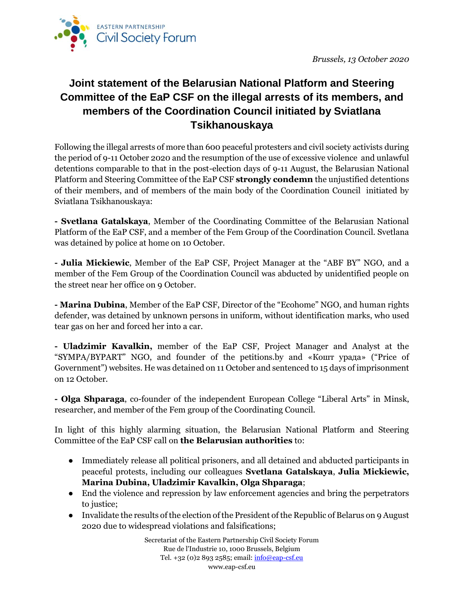

## **Joint statement of the Belarusian National Platform and Steering Committee of the EaP CSF on the illegal arrests of its members, and members of the Coordination Council initiated by Sviatlana Tsikhanouskaya**

Following the illegal arrests of more than 600 peaceful protesters and civil society activists during the period of 9-11 October 2020 and the resumption of the use of excessive violence and unlawful detentions comparable to that in the post-election days of 9-11 August, the Belarusian National Platform and Steering Committee of the EaP CSF **strongly condemn** the unjustified detentions of their members, and of members of the main body of the Coordination Council initiated by Sviatlana Tsikhanouskaya:

**- Svetlana Gatalskaya**, Member of the Coordinating Committee of the Belarusian National Platform of the EaP CSF, and a member of the Fem Group of the Coordination Council. Svetlana was detained by police at home on 10 October.

**- Julia Mickiewic**, Member of the EaP CSF, Project Manager at the "ABF BY" NGO, and a member of the Fem Group of the Coordination Council was abducted by unidentified people on the street near her office on 9 October.

**- Marina Dubina**, Member of the EaP CSF, Director of the "Ecohome" NGO, and human rights defender, was detained by unknown persons in uniform, without identification marks, who used tear gas on her and forced her into a car.

**- Uladzimir Kavalkin,** member of the EaP CSF, Project Manager and Analyst at the "SYMPA/BYPART" NGO, and founder of the petitions.by and «Кошт урада» ("Price of Government") websites. He was detained on 11 October and sentenced to 15 days of imprisonment on 12 October.

**- Olga Shparaga**, co-founder of the independent European College "Liberal Arts" in Minsk, researcher, and member of the Fem group of the Coordinating Council.

In light of this highly alarming situation, the Belarusian National Platform and Steering Committee of the EaP CSF call on **the Belarusian authorities** to:

- Immediately release all political prisoners, and all detained and abducted participants in peaceful protests, including our colleagues **Svetlana Gatalskaya**, **Julia Mickiewic, Marina Dubina, Uladzimir Kavalkin, Olga Shparaga**;
- End the violence and repression by law enforcement agencies and bring the perpetrators to justice:
- Invalidate the results of the election of the President of the Republic of Belarus on 9 August 2020 due to widespread violations and falsifications;